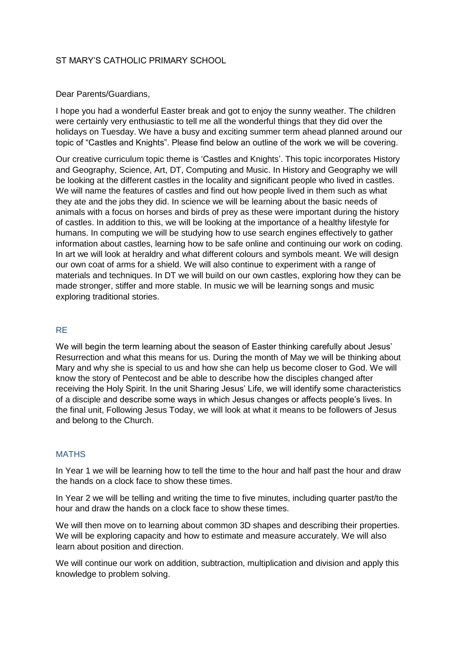## ST MARY'S CATHOLIC PRIMARY SCHOOL

### Dear Parents/Guardians,

I hope you had a wonderful Easter break and got to enjoy the sunny weather. The children were certainly very enthusiastic to tell me all the wonderful things that they did over the holidays on Tuesday. We have a busy and exciting summer term ahead planned around our topic of "Castles and Knights". Please find below an outline of the work we will be covering.

Our creative curriculum topic theme is 'Castles and Knights'. This topic incorporates History and Geography, Science, Art, DT, Computing and Music. In History and Geography we will be looking at the different castles in the locality and significant people who lived in castles. We will name the features of castles and find out how people lived in them such as what they ate and the jobs they did. In science we will be learning about the basic needs of animals with a focus on horses and birds of prey as these were important during the history of castles. In addition to this, we will be looking at the importance of a healthy lifestyle for humans. In computing we will be studying how to use search engines effectively to gather information about castles, learning how to be safe online and continuing our work on coding. In art we will look at heraldry and what different colours and symbols meant. We will design our own coat of arms for a shield. We will also continue to experiment with a range of materials and techniques. In DT we will build on our own castles, exploring how they can be made stronger, stiffer and more stable. In music we will be learning songs and music exploring traditional stories.

## RE

We will begin the term learning about the season of Easter thinking carefully about Jesus' Resurrection and what this means for us. During the month of May we will be thinking about Mary and why she is special to us and how she can help us become closer to God. We will know the story of Pentecost and be able to describe how the disciples changed after receiving the Holy Spirit. In the unit Sharing Jesus' Life, we will identify some characteristics of a disciple and describe some ways in which Jesus changes or affects people's lives. In the final unit, Following Jesus Today, we will look at what it means to be followers of Jesus and belong to the Church.

#### **MATHS**

In Year 1 we will be learning how to tell the time to the hour and half past the hour and draw the hands on a clock face to show these times.

In Year 2 we will be telling and writing the time to five minutes, including quarter past/to the hour and draw the hands on a clock face to show these times.

We will then move on to learning about common 3D shapes and describing their properties. We will be exploring capacity and how to estimate and measure accurately. We will also learn about position and direction.

We will continue our work on addition, subtraction, multiplication and division and apply this knowledge to problem solving.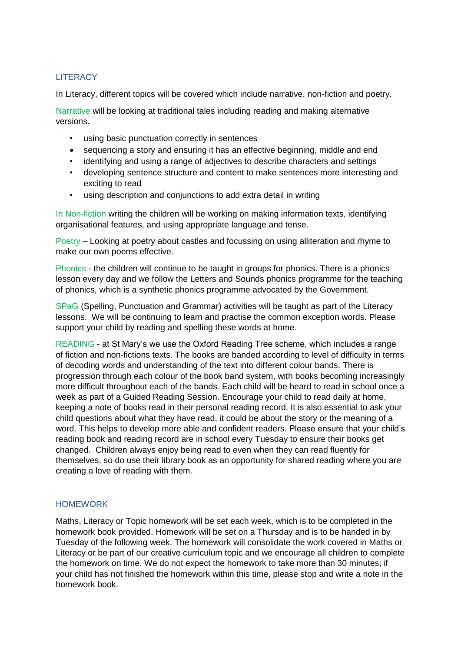# **LITERACY**

In Literacy, different topics will be covered which include narrative, non-fiction and poetry.

Narrative will be looking at traditional tales including reading and making alternative versions.

- using basic punctuation correctly in sentences
- sequencing a story and ensuring it has an effective beginning, middle and end
- identifying and using a range of adjectives to describe characters and settings
- developing sentence structure and content to make sentences more interesting and exciting to read
- using description and conjunctions to add extra detail in writing

In Non-fiction writing the children will be working on making information texts, identifying organisational features, and using appropriate language and tense.

Poetry – Looking at poetry about castles and focussing on using alliteration and rhyme to make our own poems effective.

Phonics - the children will continue to be taught in groups for phonics. There is a phonics lesson every day and we follow the Letters and Sounds phonics programme for the teaching of phonics, which is a synthetic phonics programme advocated by the Government.

SPaG (Spelling, Punctuation and Grammar) activities will be taught as part of the Literacy lessons. We will be continuing to learn and practise the common exception words. Please support your child by reading and spelling these words at home.

READING - at St Mary's we use the Oxford Reading Tree scheme, which includes a range of fiction and non-fictions texts. The books are banded according to level of difficulty in terms of decoding words and understanding of the text into different colour bands. There is progression through each colour of the book band system, with books becoming increasingly more difficult throughout each of the bands. Each child will be heard to read in school once a week as part of a Guided Reading Session. Encourage your child to read daily at home, keeping a note of books read in their personal reading record. It is also essential to ask your child questions about what they have read, it could be about the story or the meaning of a word. This helps to develop more able and confident readers. Please ensure that your child's reading book and reading record are in school every Tuesday to ensure their books get changed. Children always enjoy being read to even when they can read fluently for themselves, so do use their library book as an opportunity for shared reading where you are creating a love of reading with them.

## **HOMEWORK**

Maths, Literacy or Topic homework will be set each week, which is to be completed in the homework book provided. Homework will be set on a Thursday and is to be handed in by Tuesday of the following week. The homework will consolidate the work covered in Maths or Literacy or be part of our creative curriculum topic and we encourage all children to complete the homework on time. We do not expect the homework to take more than 30 minutes; if your child has not finished the homework within this time, please stop and write a note in the homework book.